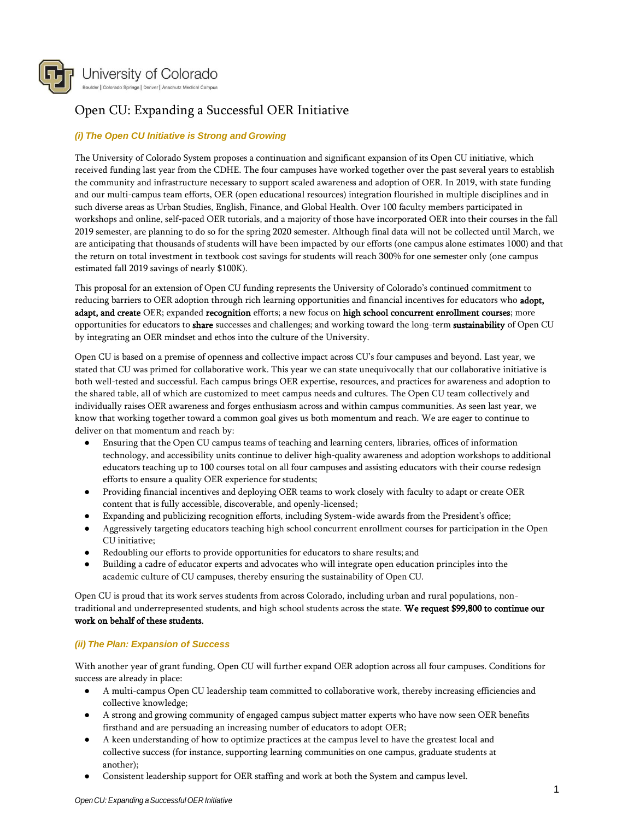

# Open CU: Expanding a Successful OER Initiative

## *(i) The Open CU Initiative is Strong and Growing*

The University of Colorado System proposes a continuation and significant expansion of its Open CU initiative, which received funding last year from the CDHE. The four campuses have worked together over the past several years to establish the community and infrastructure necessary to support scaled awareness and adoption of OER. In 2019, with state funding and our multi-campus team efforts, OER (open educational resources) integration flourished in multiple disciplines and in such diverse areas as Urban Studies, English, Finance, and Global Health. Over 100 faculty members participated in workshops and online, self-paced OER tutorials, and a majority of those have incorporated OER into their courses in the fall 2019 semester, are planning to do so for the spring 2020 semester. Although final data will not be collected until March, we are anticipating that thousands of students will have been impacted by our efforts (one campus alone estimates 1000) and that the return on total investment in textbook cost savings for students will reach 300% for one semester only (one campus estimated fall 2019 savings of nearly \$100K).

This proposal for an extension of Open CU funding represents the University of Colorado's continued commitment to reducing barriers to OER adoption through rich learning opportunities and financial incentives for educators who adopt, adapt, and create OER; expanded recognition efforts; a new focus on high school concurrent enrollment courses; more opportunities for educators to share successes and challenges; and working toward the long-term sustainability of Open CU by integrating an OER mindset and ethos into the culture of the University.

Open CU is based on a premise of openness and collective impact across CU's four campuses and beyond. Last year, we stated that CU was primed for collaborative work. This year we can state unequivocally that our collaborative initiative is both well-tested and successful. Each campus brings OER expertise, resources, and practices for awareness and adoption to the shared table, all of which are customized to meet campus needs and cultures. The Open CU team collectively and individually raises OER awareness and forges enthusiasm across and within campus communities. As seen last year, we know that working together toward a common goal gives us both momentum and reach. We are eager to continue to deliver on that momentum and reach by:

- Ensuring that the Open CU campus teams of teaching and learning centers, libraries, offices of information technology, and accessibility units continue to deliver high-quality awareness and adoption workshops to additional educators teaching up to 100 courses total on all four campuses and assisting educators with their course redesign efforts to ensure a quality OER experience for students;
- Providing financial incentives and deploying OER teams to work closely with faculty to adapt or create OER content that is fully accessible, discoverable, and openly-licensed;
- Expanding and publicizing recognition efforts, including System-wide awards from the President's office;
- Aggressively targeting educators teaching high school concurrent enrollment courses for participation in the Open CU initiative;
- Redoubling our efforts to provide opportunities for educators to share results; and
- Building a cadre of educator experts and advocates who will integrate open education principles into the academic culture of CU campuses, thereby ensuring the sustainability of Open CU.

Open CU is proud that its work serves students from across Colorado, including urban and rural populations, nontraditional and underrepresented students, and high school students across the state. We request \$99,800 to continue our work on behalf of these students.

## *(ii) The Plan: Expansion of Success*

With another year of grant funding, Open CU will further expand OER adoption across all four campuses. Conditions for success are already in place:

- A multi-campus Open CU leadership team committed to collaborative work, thereby increasing efficiencies and collective knowledge;
- A strong and growing community of engaged campus subject matter experts who have now seen OER benefits firsthand and are persuading an increasing number of educators to adopt OER;
- A keen understanding of how to optimize practices at the campus level to have the greatest local and collective success (for instance, supporting learning communities on one campus, graduate students at another);
- Consistent leadership support for OER staffing and work at both the System and campus level.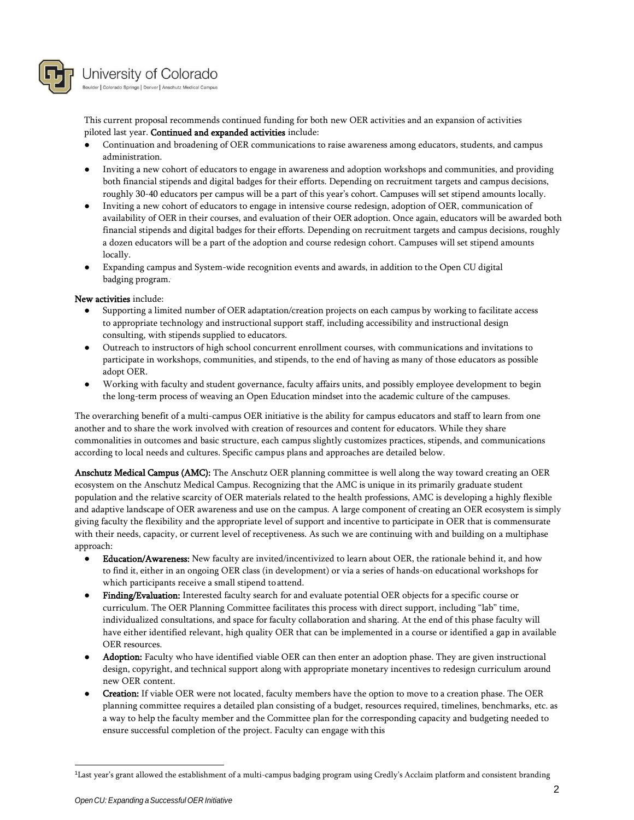

University of Colorado Boulder | Colorado Springs | Denver | Anschutz Medical Campus

This current proposal recommends continued funding for both new OER activities and an expansion of activities piloted last year. Continued and expanded activities include:

- Continuation and broadening of OER communications to raise awareness among educators, students, and campus administration.
- Inviting a new cohort of educators to engage in awareness and adoption workshops and communities, and providing both financial stipends and digital badges for their efforts. Depending on recruitment targets and campus decisions, roughly 30-40 educators per campus will be a part of this year's cohort. Campuses will set stipend amounts locally.
- Inviting a new cohort of educators to engage in intensive course redesign, adoption of OER, communication of availability of OER in their courses, and evaluation of their OER adoption. Once again, educators will be awarded both financial stipends and digital badges for their efforts. Depending on recruitment targets and campus decisions, roughly a dozen educators will be a part of the adoption and course redesign cohort. Campuses will set stipend amounts locally.
- Expanding campus and System-wide recognition events and awards, in addition to the Open CU digital badging program. 1

## New activities include:

- Supporting a limited number of OER adaptation/creation projects on each campus by working to facilitate access to appropriate technology and instructional support staff, including accessibility and instructional design consulting, with stipends supplied to educators.
- Outreach to instructors of high school concurrent enrollment courses, with communications and invitations to participate in workshops, communities, and stipends, to the end of having as many of those educators as possible adopt OER.
- Working with faculty and student governance, faculty affairs units, and possibly employee development to begin the long-term process of weaving an Open Education mindset into the academic culture of the campuses.

The overarching benefit of a multi-campus OER initiative is the ability for campus educators and staff to learn from one another and to share the work involved with creation of resources and content for educators. While they share commonalities in outcomes and basic structure, each campus slightly customizes practices, stipends, and communications according to local needs and cultures. Specific campus plans and approaches are detailed below.

Anschutz Medical Campus (AMC): The Anschutz OER planning committee is well along the way toward creating an OER ecosystem on the Anschutz Medical Campus. Recognizing that the AMC is unique in its primarily graduate student population and the relative scarcity of OER materials related to the health professions, AMC is developing a highly flexible and adaptive landscape of OER awareness and use on the campus. A large component of creating an OER ecosystem is simply giving faculty the flexibility and the appropriate level of support and incentive to participate in OER that is commensurate with their needs, capacity, or current level of receptiveness. As such we are continuing with and building on a multiphase approach:

- Education/Awareness: New faculty are invited/incentivized to learn about OER, the rationale behind it, and how to find it, either in an ongoing OER class (in development) or via a series of hands-on educational workshops for which participants receive a small stipend to attend.
- Finding/Evaluation: Interested faculty search for and evaluate potential OER objects for a specific course or curriculum. The OER Planning Committee facilitates this process with direct support, including "lab" time, individualized consultations, and space for faculty collaboration and sharing. At the end of this phase faculty will have either identified relevant, high quality OER that can be implemented in a course or identified a gap in available OER resources.
- Adoption: Faculty who have identified viable OER can then enter an adoption phase. They are given instructional design, copyright, and technical support along with appropriate monetary incentives to redesign curriculum around new OER content.
- Creation: If viable OER were not located, faculty members have the option to move to a creation phase. The OER planning committee requires a detailed plan consisting of a budget, resources required, timelines, benchmarks, etc. as a way to help the faculty member and the Committee plan for the corresponding capacity and budgeting needed to ensure successful completion of the project. Faculty can engage with this

<sup>1</sup>Last year's grant allowed the establishment of a multi-campus badging program using Credly's Acclaim platform and consistent branding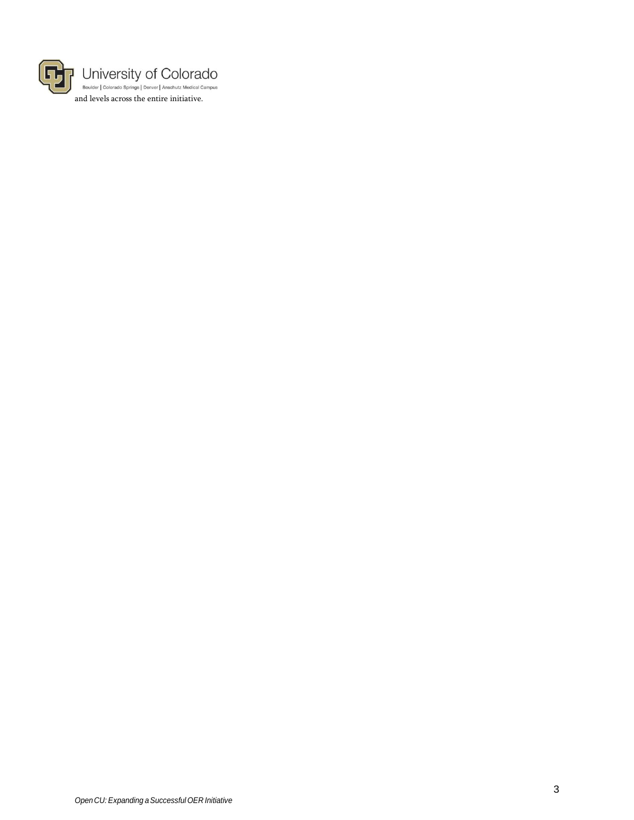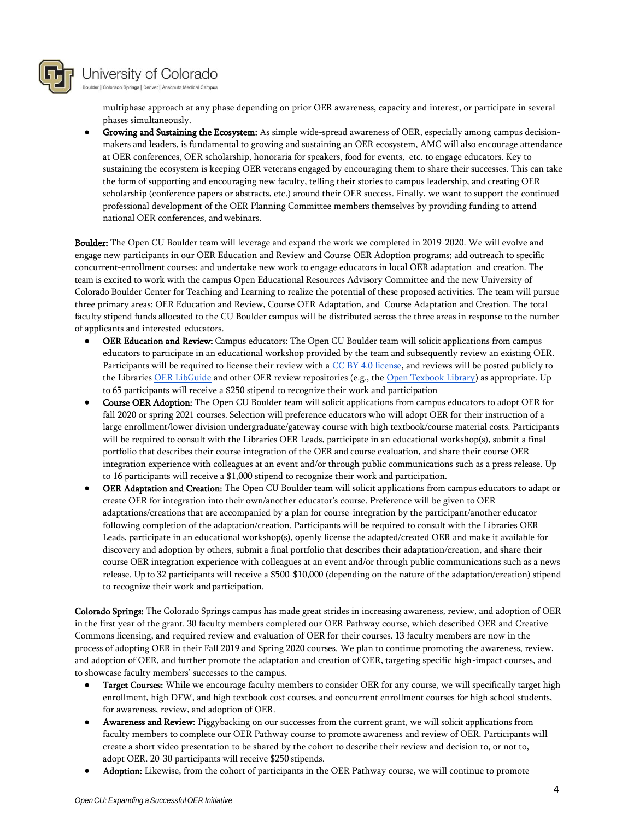

Boulder | Colorado Springs | Denver | Anschutz Medical Campus

multiphase approach at any phase depending on prior OER awareness, capacity and interest, or participate in several phases simultaneously.

Growing and Sustaining the Ecosystem: As simple wide-spread awareness of OER, especially among campus decisionmakers and leaders, is fundamental to growing and sustaining an OER ecosystem, AMC will also encourage attendance at OER conferences, OER scholarship, honoraria for speakers, food for events, etc. to engage educators. Key to sustaining the ecosystem is keeping OER veterans engaged by encouraging them to share their successes. This can take the form of supporting and encouraging new faculty, telling their stories to campus leadership, and creating OER scholarship (conference papers or abstracts, etc.) around their OER success. Finally, we want to support the continued professional development of the OER Planning Committee members themselves by providing funding to attend national OER conferences, andwebinars.

Boulder: The Open CU Boulder team will leverage and expand the work we completed in 2019-2020. We will evolve and engage new participants in our OER Education and Review and Course OER Adoption programs; add outreach to specific concurrent-enrollment courses; and undertake new work to engage educators in local OER adaptation and creation. The team is excited to work with the campus Open Educational Resources Advisory Committee and the new University of Colorado Boulder Center for Teaching and Learning to realize the potential of these proposed activities. The team will pursue three primary areas: OER Education and Review, Course OER Adaptation, and Course Adaptation and Creation. The total faculty stipend funds allocated to the CU Boulder campus will be distributed across the three areas in response to the number of applicants and interested educators.

- OER Education and Review: Campus educators: The Open CU Boulder team will solicit applications from campus educators to participate in an educational workshop provided by the team and subsequently review an existing OER. Participants will be required to license their review with a CC BY 4.0 license, and reviews will be posted publicly to the Libraries OER LibGuide and other OER review repositories (e.g., the Open Texbook Library) as appropriate. Up to 65 participants will receive a \$250 stipend to recognize their work and participation
- Course OER Adoption: The Open CU Boulder team will solicit applications from campus educators to adopt OER for fall 2020 or spring 2021 courses. Selection will preference educators who will adopt OER for their instruction of a large enrollment/lower division undergraduate/gateway course with high textbook/course material costs. Participants will be required to consult with the Libraries OER Leads, participate in an educational workshop(s), submit a final portfolio that describes their course integration of the OER and course evaluation, and share their course OER integration experience with colleagues at an event and/or through public communications such as a press release. Up to 16 participants will receive a \$1,000 stipend to recognize their work and participation.
- OER Adaptation and Creation: The Open CU Boulder team will solicit applications from campus educators to adapt or create OER for integration into their own/another educator's course. Preference will be given to OER adaptations/creations that are accompanied by a plan for course-integration by the participant/another educator following completion of the adaptation/creation. Participants will be required to consult with the Libraries OER Leads, participate in an educational workshop(s), openly license the adapted/created OER and make it available for discovery and adoption by others, submit a final portfolio that describes their adaptation/creation, and share their course OER integration experience with colleagues at an event and/or through public communications such as a news release. Up to 32 participants will receive a \$500-\$10,000 (depending on the nature of the adaptation/creation) stipend to recognize their work andparticipation.

Colorado Springs: The Colorado Springs campus has made great strides in increasing awareness, review, and adoption of OER in the first year of the grant. 30 faculty members completed our OER Pathway course, which described OER and Creative Commons licensing, and required review and evaluation of OER for their courses. 13 faculty members are now in the process of adopting OER in their Fall 2019 and Spring 2020 courses. We plan to continue promoting the awareness, review, and adoption of OER, and further promote the adaptation and creation of OER, targeting specific high-impact courses, and to showcase faculty members' successes to the campus.

- **Target Courses:** While we encourage faculty members to consider OER for any course, we will specifically target high enrollment, high DFW, and high textbook cost courses, and concurrent enrollment courses for high school students, for awareness, review, and adoption of OER.
- Awareness and Review: Piggybacking on our successes from the current grant, we will solicit applications from faculty members to complete our OER Pathway course to promote awareness and review of OER. Participants will create a short video presentation to be shared by the cohort to describe their review and decision to, or not to, adopt OER. 20-30 participants will receive \$250 stipends.
- Adoption: Likewise, from the cohort of participants in the OER Pathway course, we will continue to promote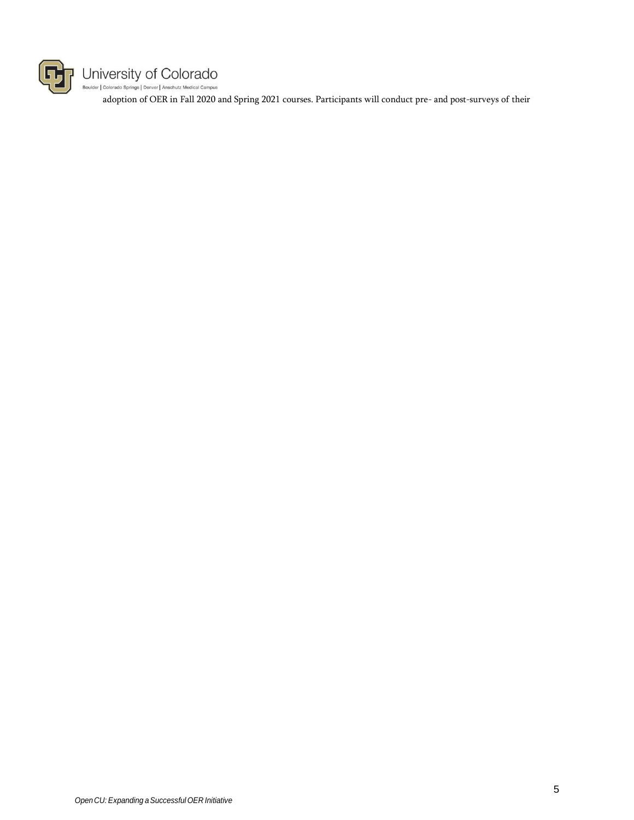

# $\label{thm:univers} \begin{array}{l} \!\!\!\!\! \bigcup \!\!\!\!\! \text{microity of } \text{Colorado} \\ \!\!\!\! \text{\tiny \text{Boulder}|\ Colorado} \ \text{\tiny \text{Springs}|\ Denver \textrm{|\ Anschutz Medical Campus} } \end{array}$

adoption of OER in Fall 2020 and Spring 2021 courses. Participants will conduct pre- and post-surveys of their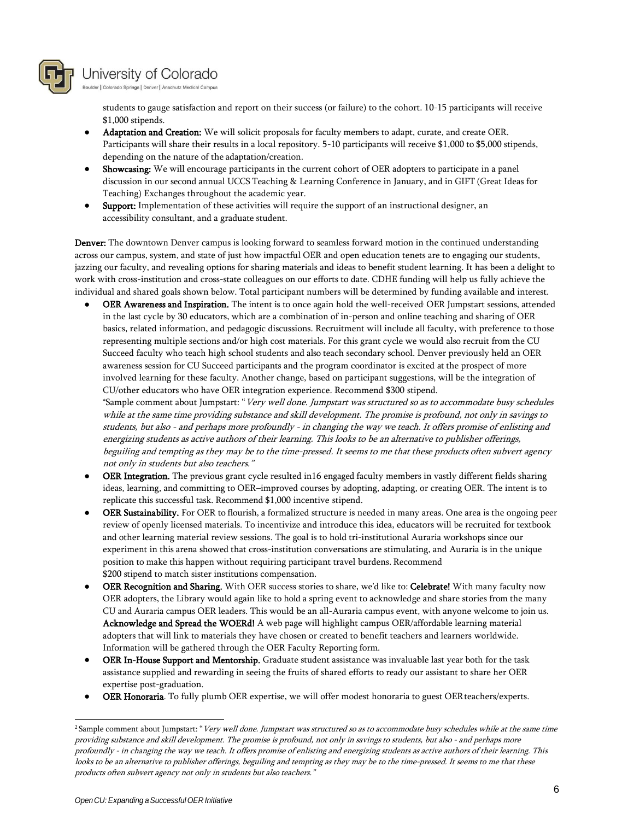

Boulder | Colorado Springs | Denver | Anschutz Medical Campus

students to gauge satisfaction and report on their success (or failure) to the cohort. 10-15 participants will receive \$1,000 stipends.

- Adaptation and Creation: We will solicit proposals for faculty members to adapt, curate, and create OER. Participants will share their results in a local repository. 5-10 participants will receive \$1,000 to \$5,000 stipends, depending on the nature of the adaptation/creation.
- **Showcasing:** We will encourage participants in the current cohort of OER adopters to participate in a panel discussion in our second annual UCCS Teaching & Learning Conference in January, and in GIFT (Great Ideas for Teaching) Exchanges throughout the academic year.
- Support: Implementation of these activities will require the support of an instructional designer, an accessibility consultant, and a graduate student.

Denver: The downtown Denver campus is looking forward to seamless forward motion in the continued understanding across our campus, system, and state of just how impactful OER and open education tenets are to engaging our students, jazzing our faculty, and revealing options for sharing materials and ideas to benefit student learning. It has been a delight to work with cross-institution and cross-state colleagues on our efforts to date. CDHE funding will help us fully achieve the individual and shared goals shown below. Total participant numbers will be determined by funding available and interest.

● OER Awareness and Inspiration. The intent is to once again hold the well-received OER Jumpstart sessions, attended in the last cycle by 30 educators, which are a combination of in-person and online teaching and sharing of OER basics, related information, and pedagogic discussions. Recruitment will include all faculty, with preference to those representing multiple sections and/or high cost materials. For this grant cycle we would also recruit from the CU Succeed faculty who teach high school students and also teach secondary school. Denver previously held an OER awareness session for CU Succeed participants and the program coordinator is excited at the prospect of more involved learning for these faculty. Another change, based on participant suggestions, will be the integration of CU/other educators who have OER integration experience. Recommend \$300 stipend.

\*Sample comment about Jumpstart: "Very well done. Jumpstart was structured so as to accommodate busy schedules while at the same time providing substance and skill development. The promise is profound, not only in savings to students, but also - and perhaps more profoundly - in changing the way we teach. It offers promise of enlisting and energizing students as active authors of their learning. This looks to be an alternative to publisher offerings, beguiling and tempting as they may be to the time-pressed. It seems to me that these products often subvert agency not only in students but also teachers."

- OER Integration. The previous grant cycle resulted in16 engaged faculty members in vastly different fields sharing ideas, learning, and committing to OER–improved courses by adopting, adapting, or creating OER. The intent is to replicate this successful task. Recommend \$1,000 incentive stipend.
- OER Sustainability. For OER to flourish, a formalized structure is needed in many areas. One area is the ongoing peer review of openly licensed materials. To incentivize and introduce this idea, educators will be recruited for textbook and other learning material review sessions. The goal is to hold tri-institutional Auraria workshops since our experiment in this arena showed that cross-institution conversations are stimulating, and Auraria is in the unique position to make this happen without requiring participant travel burdens. Recommend \$200 stipend to match sister institutions compensation.
- OER Recognition and Sharing. With OER success stories to share, we'd like to: Celebrate! With many faculty now OER adopters, the Library would again like to hold a spring event to acknowledge and share stories from the many CU and Auraria campus OER leaders. This would be an all-Auraria campus event, with anyone welcome to join us. Acknowledge and Spread the WOERd! A web page will highlight campus OER/affordable learning material adopters that will link to materials they have chosen or created to benefit teachers and learners worldwide. Information will be gathered through the OER Faculty Reporting form.
- OER In-House Support and Mentorship. Graduate student assistance was invaluable last year both for the task assistance supplied and rewarding in seeing the fruits of shared efforts to ready our assistant to share her OER expertise post-graduation.
- OER Honoraria. To fully plumb OER expertise, we will offer modest honoraria to guest OER teachers/experts.

<sup>&</sup>lt;sup>2</sup> Sample comment about Jumpstart: "Very well done. Jumpstart was structured so as to accommodate busy schedules while at the same time providing substance and skill development. The promise is profound, not only in savings to students, but also - and perhaps more profoundly - in changing the way we teach. It offers promise of enlisting and energizing students as active authors of their learning. This looks to be an alternative to publisher offerings, beguiling and tempting as they may be to the time-pressed. It seems to me that these products often subvert agency not only in students but also teachers."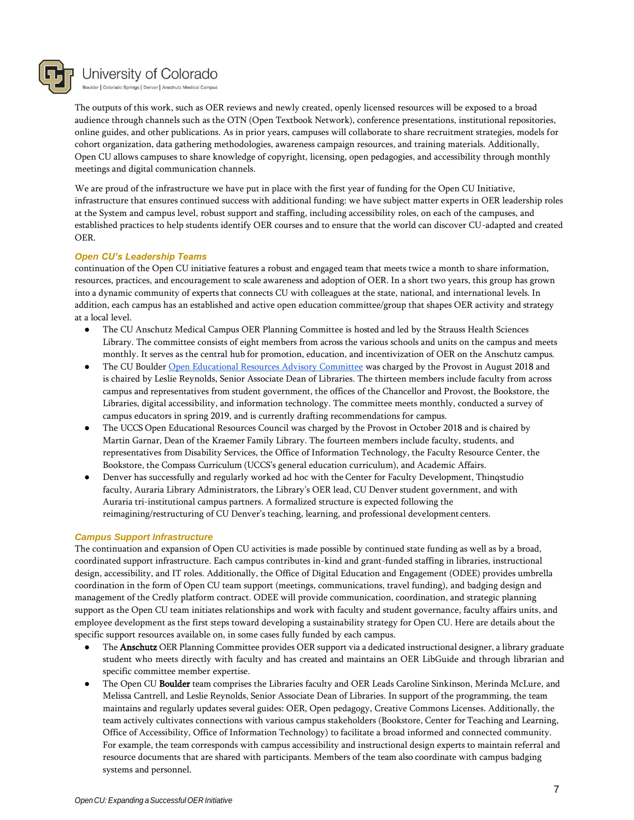

Boulder | Colorado Springs | Denver | Anschutz Medical Campus

The outputs of this work, such as OER reviews and newly created, openly licensed resources will be exposed to a broad audience through channels such as the OTN (Open Textbook Network), conference presentations, institutional repositories, online guides, and other publications. As in prior years, campuses will collaborate to share recruitment strategies, models for cohort organization, data gathering methodologies, awareness campaign resources, and training materials. Additionally, Open CU allows campuses to share knowledge of copyright, licensing, open pedagogies, and accessibility through monthly meetings and digital communication channels.

We are proud of the infrastructure we have put in place with the first year of funding for the Open CU Initiative, infrastructure that ensures continued success with additional funding: we have subject matter experts in OER leadership roles at the System and campus level, robust support and staffing, including accessibility roles, on each of the campuses, and established practices to help students identify OER courses and to ensure that the world can discover CU-adapted and created OER.

## *Open CU's Leadership Teams*

continuation of the Open CU initiative features a robust and engaged team that meets twice a month to share information, resources, practices, and encouragement to scale awareness and adoption of OER. In a short two years, this group has grown into a dynamic community of experts that connects CU with colleagues at the state, national, and international levels. In addition, each campus has an established and active open education committee/group that shapes OER activity and strategy at a local level.

- The CU Anschutz Medical Campus OER Planning Committee is hosted and led by the Strauss Health Sciences Library. The committee consists of eight members from across the various schools and units on the campus and meets monthly. It serves as the central hub for promotion, education, and incentivization of OER on the Anschutz campus.
- The CU Boulder Open Educational Resources Advisory Committee was charged by the Provost in August 2018 and is chaired by Leslie Reynolds, Senior Associate Dean of Libraries. The thirteen members include faculty from across campus and representatives from student government, the offices of the Chancellor and Provost, the Bookstore, the Libraries, digital accessibility, and information technology. The committee meets monthly, conducted a survey of campus educators in spring 2019, and is currently drafting recommendations for campus.
- The UCCS Open Educational Resources Council was charged by the Provost in October 2018 and is chaired by Martin Garnar, Dean of the Kraemer Family Library. The fourteen members include faculty, students, and representatives from Disability Services, the Office of Information Technology, the Faculty Resource Center, the Bookstore, the Compass Curriculum (UCCS's general education curriculum), and Academic Affairs.
- Denver has successfully and regularly worked ad hoc with the Center for Faculty Development, Thinqstudio faculty, Auraria Library Administrators, the Library's OER lead, CU Denver student government, and with Auraria tri-institutional campus partners. A formalized structure is expected following the reimagining/restructuring of CU Denver's teaching, learning, and professional development centers.

#### *Campus Support Infrastructure*

The continuation and expansion of Open CU activities is made possible by continued state funding as well as by a broad, coordinated support infrastructure. Each campus contributes in-kind and grant-funded staffing in libraries, instructional design, accessibility, and IT roles. Additionally, the Office of Digital Education and Engagement (ODEE) provides umbrella coordination in the form of Open CU team support (meetings, communications, travel funding), and badging design and management of the Credly platform contract. ODEE will provide communication, coordination, and strategic planning support as the Open CU team initiates relationships and work with faculty and student governance, faculty affairs units, and employee development as the first steps toward developing a sustainability strategy for Open CU. Here are details about the specific support resources available on, in some cases fully funded by each campus.

- The Anschutz OER Planning Committee provides OER support via a dedicated instructional designer, a library graduate student who meets directly with faculty and has created and maintains an OER LibGuide and through librarian and specific committee member expertise.
- The Open CU Boulder team comprises the Libraries faculty and OER Leads Caroline Sinkinson, Merinda McLure, and Melissa Cantrell, and Leslie Reynolds, Senior Associate Dean of Libraries. In support of the programming, the team maintains and regularly updates several guides: OER, Open pedagogy, Creative Commons Licenses. Additionally, the team actively cultivates connections with various campus stakeholders (Bookstore, Center for Teaching and Learning, Office of Accessibility, Office of Information Technology) to facilitate a broad informed and connected community. For example, the team corresponds with campus accessibility and instructional design experts to maintain referral and resource documents that are shared with participants. Members of the team also coordinate with campus badging systems and personnel.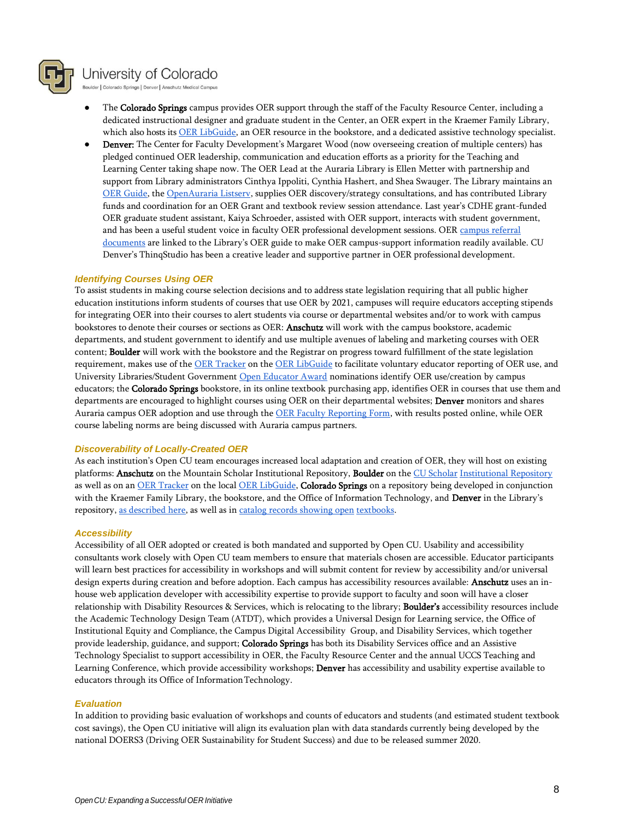

Boulder | Colorado Springs | Denver | Anschutz Medical Campus

- The Colorado Springs campus provides OER support through the staff of the Faculty Resource Center, including a dedicated instructional designer and graduate student in the Center, an OER expert in the Kraemer Family Library, which also hosts its OER LibGuide, an OER resource in the bookstore, and a dedicated assistive technology specialist.
- Denver: The Center for Faculty Development's Margaret Wood (now overseeing creation of multiple centers) has pledged continued OER leadership, communication and education efforts as a priority for the Teaching and Learning Center taking shape now. The OER Lead at the Auraria Library is Ellen Metter with partnership and support from Library administrators Cinthya Ippoliti, Cynthia Hashert, and Shea Swauger. The Library maintains an OER Guide, the OpenAuraria Listserv, supplies OER discovery/strategy consultations, and has contributed Library funds and coordination for an OER Grant and textbook review session attendance. Last year's CDHE grant-funded OER graduate student assistant, Kaiya Schroeder, assisted with OER support, interacts with student government, and has been a useful student voice in faculty OER professional development sessions. OER campus referral documents are linked to the Library's OER guide to make OER campus-support information readily available. CU Denver's ThinqStudio has been a creative leader and supportive partner in OER professional development.

#### *Identifying Courses Using OER*

To assist students in making course selection decisions and to address state legislation requiring that all public higher education institutions inform students of courses that use OER by 2021, campuses will require educators accepting stipends for integrating OER into their courses to alert students via course or departmental websites and/or to work with campus bookstores to denote their courses or sections as OER: Anschutz will work with the campus bookstore, academic departments, and student government to identify and use multiple avenues of labeling and marketing courses with OER content; Boulder will work with the bookstore and the Registrar on progress toward fulfillment of the state legislation requirement, makes use of the OER Tracker on the OER LibGuide to facilitate voluntary educator reporting of OER use, and University Libraries/Student Government Open Educator Award nominations identify OER use/creation by campus educators; the Colorado Springs bookstore, in its online textbook purchasing app, identifies OER in courses that use them and departments are encouraged to highlight courses using OER on their departmental websites; **Denver** monitors and shares Auraria campus OER adoption and use through the OER Faculty Reporting Form, with results posted online, while OER course labeling norms are being discussed with Auraria campus partners.

#### *Discoverability of Locally-Created OER*

As each institution's Open CU team encourages increased local adaptation and creation of OER, they will host on existing platforms: Anschutz on the Mountain Scholar Institutional Repository, Boulder on the CU Scholar Institutional Repository as well as on an OER Tracker on the local OER LibGuide, Colorado Springs on a repository being developed in conjunction with the Kraemer Family Library, the bookstore, and the Office of Information Technology, and Denver in the Library's repository, as described here, as well as in catalog records showing open textbooks.

#### *Accessibility*

Accessibility of all OER adopted or created is both mandated and supported by Open CU. Usability and accessibility consultants work closely with Open CU team members to ensure that materials chosen are accessible. Educator participants will learn best practices for accessibility in workshops and will submit content for review by accessibility and/or universal design experts during creation and before adoption. Each campus has accessibility resources available: Anschutz uses an inhouse web application developer with accessibility expertise to provide support to faculty and soon will have a closer relationship with Disability Resources & Services, which is relocating to the library; **Boulder's** accessibility resources include the Academic Technology Design Team (ATDT), which provides a Universal Design for Learning service, the Office of Institutional Equity and Compliance, the Campus Digital Accessibility Group, and Disability Services, which together provide leadership, guidance, and support; Colorado Springs has both its Disability Services office and an Assistive Technology Specialist to support accessibility in OER, the Faculty Resource Center and the annual UCCS Teaching and Learning Conference, which provide accessibility workshops; Denver has accessibility and usability expertise available to educators through its Office of InformationTechnology.

#### *Evaluation*

In addition to providing basic evaluation of workshops and counts of educators and students (and estimated student textbook cost savings), the Open CU initiative will align its evaluation plan with data standards currently being developed by the national DOERS3 (Driving OER Sustainability for Student Success) and due to be released summer 2020.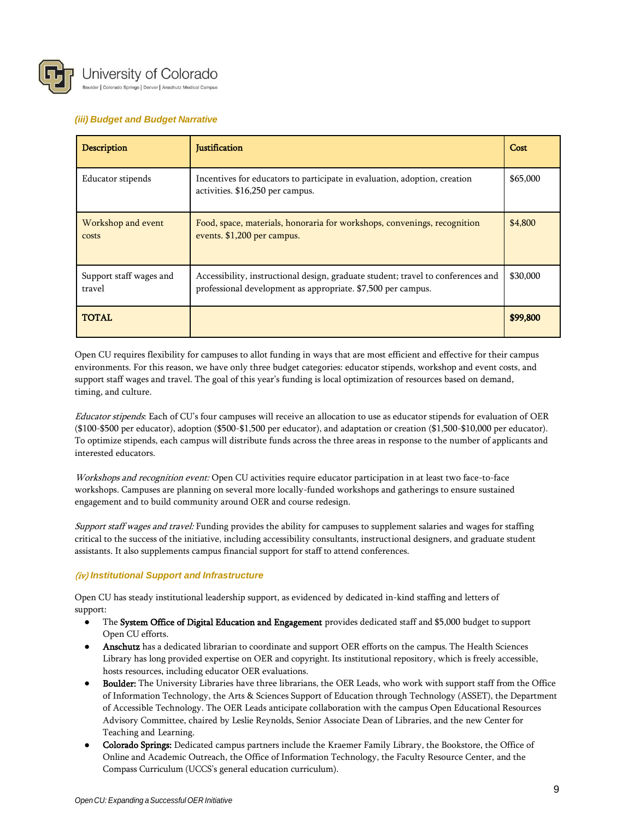

Boulder | Colorado Springs | Denver | Anschutz Medical Campus

## *(iii) Budget and Budget Narrative*

| Description                       | <b>Justification</b>                                                                                                                             | Cost     |
|-----------------------------------|--------------------------------------------------------------------------------------------------------------------------------------------------|----------|
| Educator stipends                 | Incentives for educators to participate in evaluation, adoption, creation<br>activities. \$16,250 per campus.                                    | \$65,000 |
| Workshop and event<br>costs       | Food, space, materials, honoraria for workshops, convenings, recognition<br>events. \$1,200 per campus.                                          | \$4,800  |
| Support staff wages and<br>travel | Accessibility, instructional design, graduate student; travel to conferences and<br>professional development as appropriate. \$7,500 per campus. | \$30,000 |
| <b>TOTAL</b>                      |                                                                                                                                                  | \$99,800 |

Open CU requires flexibility for campuses to allot funding in ways that are most efficient and effective for their campus environments. For this reason, we have only three budget categories: educator stipends, workshop and event costs, and support staff wages and travel. The goal of this year's funding is local optimization of resources based on demand, timing, and culture.

Educator stipends: Each of CU's four campuses will receive an allocation to use as educator stipends for evaluation of OER (\$100-\$500 per educator), adoption (\$500-\$1,500 per educator), and adaptation or creation (\$1,500-\$10,000 per educator). To optimize stipends, each campus will distribute funds across the three areas in response to the number of applicants and interested educators.

Workshops and recognition event: Open CU activities require educator participation in at least two face-to-face workshops. Campuses are planning on several more locally-funded workshops and gatherings to ensure sustained engagement and to build community around OER and course redesign.

Support staff wages and travel: Funding provides the ability for campuses to supplement salaries and wages for staffing critical to the success of the initiative, including accessibility consultants, instructional designers, and graduate student assistants. It also supplements campus financial support for staff to attend conferences.

## (iv) *Institutional Support and Infrastructure*

Open CU has steady institutional leadership support, as evidenced by dedicated in-kind staffing and letters of support:

- The System Office of Digital Education and Engagement provides dedicated staff and \$5,000 budget to support Open CU efforts.
- Anschutz has a dedicated librarian to coordinate and support OER efforts on the campus. The Health Sciences Library has long provided expertise on OER and copyright. Its institutional repository, which is freely accessible, hosts resources, including educator OER evaluations.
- Boulder: The University Libraries have three librarians, the OER Leads, who work with support staff from the Office of Information Technology, the Arts & Sciences Support of Education through Technology (ASSET), the Department of Accessible Technology. The OER Leads anticipate collaboration with the campus Open Educational Resources Advisory Committee, chaired by Leslie Reynolds, Senior Associate Dean of Libraries, and the new Center for Teaching and Learning.
- Golorado Springs: Dedicated campus partners include the Kraemer Family Library, the Bookstore, the Office of Online and Academic Outreach, the Office of Information Technology, the Faculty Resource Center, and the Compass Curriculum (UCCS's general education curriculum).